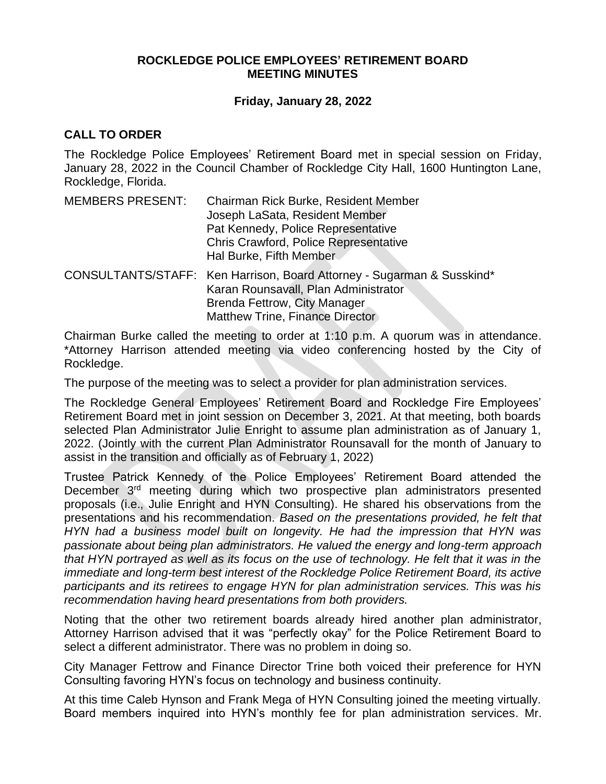## **ROCKLEDGE POLICE EMPLOYEES' RETIREMENT BOARD MEETING MINUTES**

## **Friday, January 28, 2022**

## **CALL TO ORDER**

The Rockledge Police Employees' Retirement Board met in special session on Friday, January 28, 2022 in the Council Chamber of Rockledge City Hall, 1600 Huntington Lane, Rockledge, Florida.

| <b>MEMBERS PRESENT:</b> | Chairman Rick Burke, Resident Member<br>Joseph LaSata, Resident Member<br>Pat Kennedy, Police Representative                                                                             |
|-------------------------|------------------------------------------------------------------------------------------------------------------------------------------------------------------------------------------|
|                         | Chris Crawford, Police Representative<br>Hal Burke, Fifth Member                                                                                                                         |
|                         | CONSULTANTS/STAFF: Ken Harrison, Board Attorney - Sugarman & Susskind*<br>Karan Rounsavall, Plan Administrator<br>Brenda Fettrow, City Manager<br><b>Matthew Trine, Finance Director</b> |

Chairman Burke called the meeting to order at 1:10 p.m. A quorum was in attendance. \*Attorney Harrison attended meeting via video conferencing hosted by the City of Rockledge.

The purpose of the meeting was to select a provider for plan administration services.

The Rockledge General Employees' Retirement Board and Rockledge Fire Employees' Retirement Board met in joint session on December 3, 2021. At that meeting, both boards selected Plan Administrator Julie Enright to assume plan administration as of January 1, 2022. (Jointly with the current Plan Administrator Rounsavall for the month of January to assist in the transition and officially as of February 1, 2022)

Trustee Patrick Kennedy of the Police Employees' Retirement Board attended the December 3<sup>rd</sup> meeting during which two prospective plan administrators presented proposals (i.e., Julie Enright and HYN Consulting). He shared his observations from the presentations and his recommendation. *Based on the presentations provided, he felt that HYN had a business model built on longevity. He had the impression that HYN was passionate about being plan administrators. He valued the energy and long-term approach that HYN portrayed as well as its focus on the use of technology. He felt that it was in the immediate and long-term best interest of the Rockledge Police Retirement Board, its active participants and its retirees to engage HYN for plan administration services. This was his recommendation having heard presentations from both providers.* 

Noting that the other two retirement boards already hired another plan administrator, Attorney Harrison advised that it was "perfectly okay" for the Police Retirement Board to select a different administrator. There was no problem in doing so.

City Manager Fettrow and Finance Director Trine both voiced their preference for HYN Consulting favoring HYN's focus on technology and business continuity.

At this time Caleb Hynson and Frank Mega of HYN Consulting joined the meeting virtually. Board members inquired into HYN's monthly fee for plan administration services. Mr.